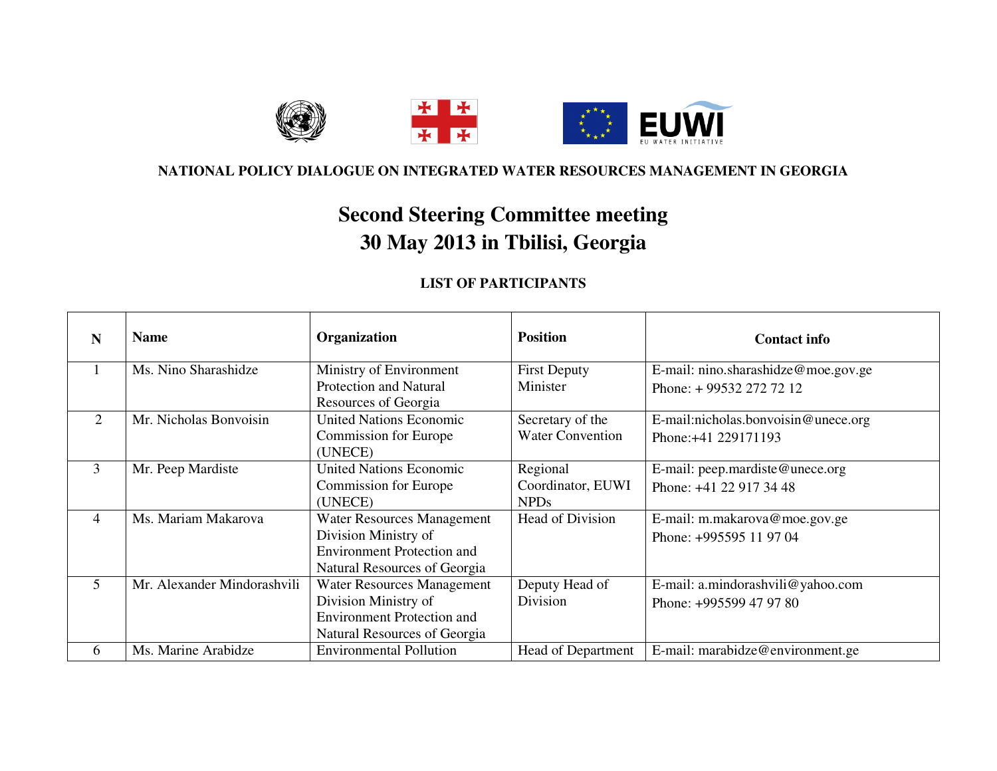

## **NATIONAL POLICY DIALOGUE ON INTEGRATED WATER RESOURCES MANAGEMENT IN GEORGIA**

## **Second Steering Committee meeting 30 May 2013 in Tbilisi, Georgia**

## **LIST OF PARTICIPANTS**

| N | <b>Name</b>                 | Organization                      | <b>Position</b>           | <b>Contact info</b>                 |
|---|-----------------------------|-----------------------------------|---------------------------|-------------------------------------|
|   | Ms. Nino Sharashidze        | Ministry of Environment           | <b>First Deputy</b>       | E-mail: nino.sharashidze@moe.gov.ge |
|   |                             | <b>Protection and Natural</b>     | Minister                  | Phone: +99532 272 72 12             |
|   |                             | Resources of Georgia              |                           |                                     |
| 2 | Mr. Nicholas Bonvoisin      | <b>United Nations Economic</b>    | Secretary of the          | E-mail:nicholas.bonvoisin@unece.org |
|   |                             | <b>Commission for Europe</b>      | <b>Water Convention</b>   | Phone: +41 229171193                |
|   |                             | (UNECE)                           |                           |                                     |
| 3 | Mr. Peep Mardiste           | <b>United Nations Economic</b>    | Regional                  | E-mail: peep.mardiste@unece.org     |
|   |                             | <b>Commission for Europe</b>      | Coordinator, EUWI         | Phone: +41 22 917 34 48             |
|   |                             | (UNECE)                           | <b>NPDs</b>               |                                     |
| 4 | Ms. Mariam Makarova         | <b>Water Resources Management</b> | Head of Division          | E-mail: m.makarova@moe.gov.ge       |
|   |                             | Division Ministry of              |                           | Phone: +995595 11 97 04             |
|   |                             | <b>Environment Protection and</b> |                           |                                     |
|   |                             | Natural Resources of Georgia      |                           |                                     |
| 5 | Mr. Alexander Mindorashvili | Water Resources Management        | Deputy Head of            | E-mail: a.mindorashvili@yahoo.com   |
|   |                             | Division Ministry of              | Division                  | Phone: +995599 47 97 80             |
|   |                             | <b>Environment Protection and</b> |                           |                                     |
|   |                             | Natural Resources of Georgia      |                           |                                     |
| 6 | Ms. Marine Arabidze         | <b>Environmental Pollution</b>    | <b>Head of Department</b> | E-mail: marabidze@environment.ge    |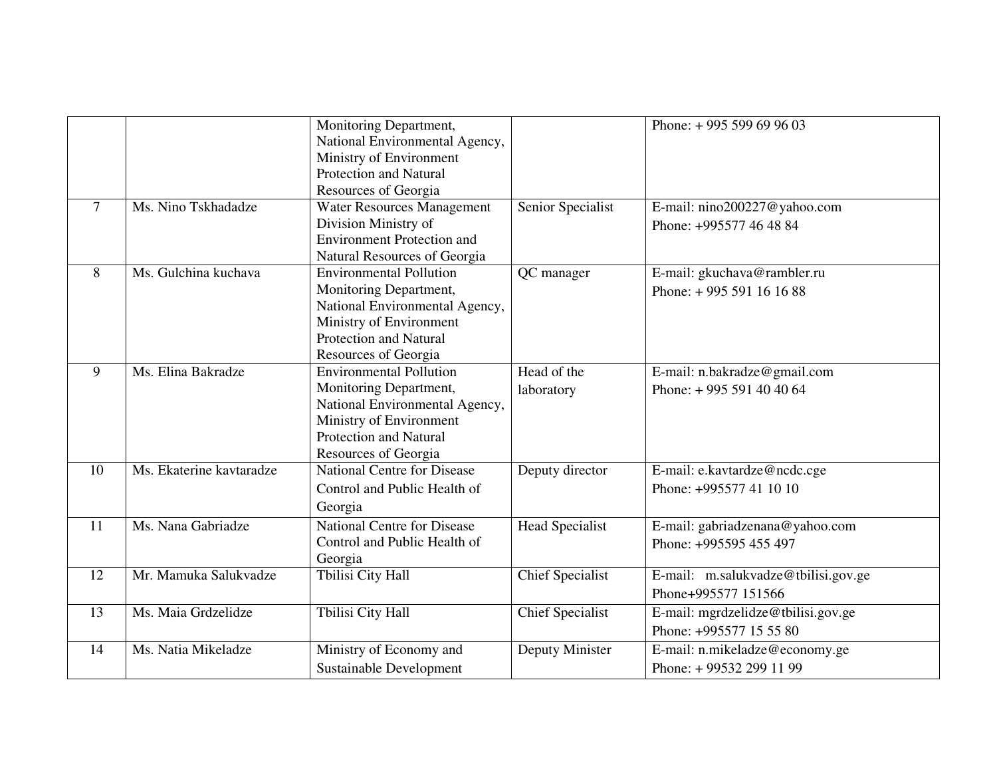|        |                          | Monitoring Department,<br>National Environmental Agency,<br>Ministry of Environment<br><b>Protection and Natural</b><br>Resources of Georgia                                   |                           | Phone: $+995599699603$                                        |
|--------|--------------------------|--------------------------------------------------------------------------------------------------------------------------------------------------------------------------------|---------------------------|---------------------------------------------------------------|
| $\tau$ | Ms. Nino Tskhadadze      | Water Resources Management<br>Division Ministry of<br><b>Environment Protection and</b><br>Natural Resources of Georgia                                                        | Senior Specialist         | E-mail: nino200227@yahoo.com<br>Phone: +995577 46 48 84       |
| 8      | Ms. Gulchina kuchava     | <b>Environmental Pollution</b><br>Monitoring Department,<br>National Environmental Agency,<br>Ministry of Environment<br><b>Protection and Natural</b><br>Resources of Georgia | QC manager                | E-mail: gkuchava@rambler.ru<br>Phone: $+995591161688$         |
| 9      | Ms. Elina Bakradze       | <b>Environmental Pollution</b><br>Monitoring Department,<br>National Environmental Agency,<br>Ministry of Environment<br><b>Protection and Natural</b><br>Resources of Georgia | Head of the<br>laboratory | E-mail: n.bakradze@gmail.com<br>Phone: $+995591404064$        |
| 10     | Ms. Ekaterine kavtaradze | <b>National Centre for Disease</b><br>Control and Public Health of<br>Georgia                                                                                                  | Deputy director           | E-mail: e.kavtardze@ncdc.cge<br>Phone: +995577 41 10 10       |
| 11     | Ms. Nana Gabriadze       | <b>National Centre for Disease</b><br>Control and Public Health of<br>Georgia                                                                                                  | <b>Head Specialist</b>    | E-mail: gabriadzenana@yahoo.com<br>Phone: +995595 455 497     |
| 12     | Mr. Mamuka Salukvadze    | Tbilisi City Hall                                                                                                                                                              | <b>Chief Specialist</b>   | E-mail: m.salukvadze@tbilisi.gov.ge<br>Phone+995577 151566    |
| 13     | Ms. Maia Grdzelidze      | Tbilisi City Hall                                                                                                                                                              | <b>Chief Specialist</b>   | E-mail: mgrdzelidze@tbilisi.gov.ge<br>Phone: +995577 15 55 80 |
| 14     | Ms. Natia Mikeladze      | Ministry of Economy and<br>Sustainable Development                                                                                                                             | Deputy Minister           | E-mail: n.mikeladze@economy.ge<br>Phone: +99532 299 11 99     |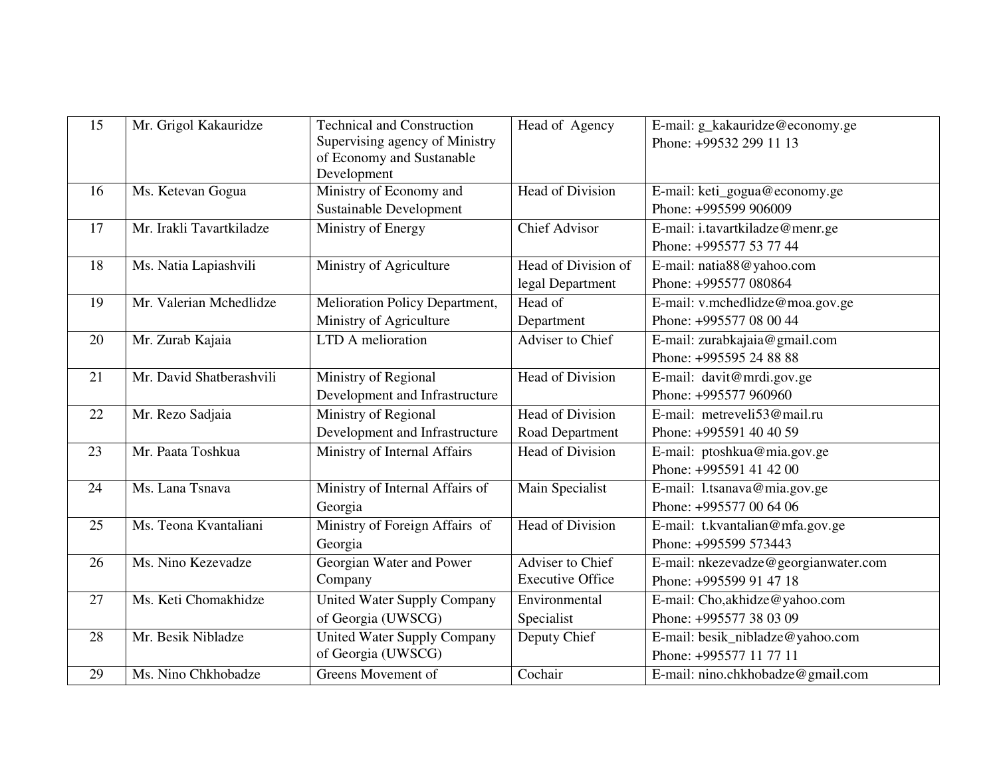| 15 | Mr. Grigol Kakauridze    | <b>Technical and Construction</b><br>Supervising agency of Ministry | Head of Agency          | E-mail: g_kakauridze@economy.ge<br>Phone: +99532 299 11 13 |
|----|--------------------------|---------------------------------------------------------------------|-------------------------|------------------------------------------------------------|
|    |                          | of Economy and Sustanable<br>Development                            |                         |                                                            |
| 16 | Ms. Ketevan Gogua        | Ministry of Economy and                                             | Head of Division        | E-mail: keti_gogua@economy.ge                              |
|    |                          | <b>Sustainable Development</b>                                      |                         | Phone: +995599 906009                                      |
| 17 | Mr. Irakli Tavartkiladze | Ministry of Energy                                                  | <b>Chief Advisor</b>    | E-mail: i.tavartkiladze@menr.ge                            |
|    |                          |                                                                     |                         | Phone: +995577 53 77 44                                    |
| 18 | Ms. Natia Lapiashvili    | Ministry of Agriculture                                             | Head of Division of     | E-mail: natia88@yahoo.com                                  |
|    |                          |                                                                     | legal Department        | Phone: +995577 080864                                      |
| 19 | Mr. Valerian Mchedlidze  | Melioration Policy Department,                                      | Head of                 | E-mail: v.mchedlidze@moa.gov.ge                            |
|    |                          | Ministry of Agriculture                                             | Department              | Phone: +995577 08 00 44                                    |
| 20 | Mr. Zurab Kajaia         | LTD A melioration                                                   | <b>Adviser to Chief</b> | E-mail: zurabkajaia@gmail.com                              |
|    |                          |                                                                     |                         | Phone: +995595 24 88 88                                    |
| 21 | Mr. David Shatberashvili | Ministry of Regional                                                | Head of Division        | E-mail: davit@mrdi.gov.ge                                  |
|    |                          | Development and Infrastructure                                      |                         | Phone: +995577 960960                                      |
| 22 | Mr. Rezo Sadjaia         | Ministry of Regional                                                | <b>Head of Division</b> | E-mail: metreveli53@mail.ru                                |
|    |                          | Development and Infrastructure                                      | Road Department         | Phone: +995591 40 40 59                                    |
| 23 | Mr. Paata Toshkua        | Ministry of Internal Affairs                                        | <b>Head of Division</b> | E-mail: ptoshkua@mia.gov.ge                                |
|    |                          |                                                                     |                         | Phone: +995591 41 42 00                                    |
| 24 | Ms. Lana Tsnava          | Ministry of Internal Affairs of                                     | Main Specialist         | E-mail: l.tsanava@mia.gov.ge                               |
|    |                          | Georgia                                                             |                         | Phone: +995577 00 64 06                                    |
| 25 | Ms. Teona Kvantaliani    | Ministry of Foreign Affairs of                                      | Head of Division        | E-mail: t.kvantalian@mfa.gov.ge                            |
|    |                          | Georgia                                                             |                         | Phone: +995599 573443                                      |
| 26 | Ms. Nino Kezevadze       | Georgian Water and Power                                            | Adviser to Chief        | E-mail: nkezevadze@georgianwater.com                       |
|    |                          | Company                                                             | <b>Executive Office</b> | Phone: +995599 91 47 18                                    |
| 27 | Ms. Keti Chomakhidze     | United Water Supply Company                                         | Environmental           | E-mail: Cho, akhidze@yahoo.com                             |
|    |                          | of Georgia (UWSCG)                                                  | Specialist              | Phone: +995577 38 03 09                                    |
| 28 | Mr. Besik Nibladze       | United Water Supply Company                                         | Deputy Chief            | E-mail: besik_nibladze@yahoo.com                           |
|    |                          | of Georgia (UWSCG)                                                  |                         | Phone: +995577 11 77 11                                    |
| 29 | Ms. Nino Chkhobadze      | Greens Movement of                                                  | Cochair                 | E-mail: nino.chkhobadze@gmail.com                          |